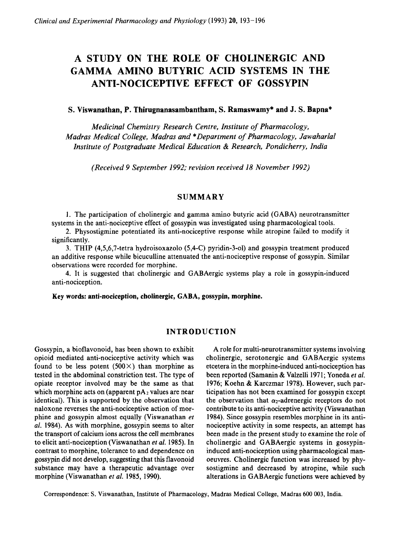# **A STUDY ON THE ROLE OF CHOLINERGIC AND GAMMA AMINO BUTYRIC ACID SYSTEMS IN THE ANTI-NOCICEPTIVE EFFECT OF GOSSYPIN**

#### **S. Viswanathan, P. Thirugnanasambantham, S. Ramaswamy\* and J. S. Bapna\***

*Medicinal Chemistry Research Centre, Institute of Pharmacology, Madras Medical College, Madras and \*Department of Pharmacology, Jawaharlal Institute of Postgraduate Medical Education* & *Research, Pondicherry, India* 

*(Received 9 September 1992; revision received 18 November 1992)* 

#### **SUMMARY**

1. The participation of cholinergic and gamma amino butyric acid (GABA) neurotransmitter systems in the anti-nociceptive effect of gossypin was investigated using pharmacological tools.

2. Physostigmine potentiated its anti-nociceptive response while atropine failed to modify it significantly.

3. THIP (4,5,6,7-tetra hydroisoxazolo (5,4-C) pyridin-3-01) and gossypin treatment produced an additive response while bicuculline attenuated the anti-nociceptive response of gossypin. Similar observations were recorded for morphine.

4. It is suggested that cholinergic and GABAergic systems play a role in gossypin-induced anti-nociception.

**Key** words: **anti-nociception, cholinergic, GABA, gossypin, morphine.** 

## **INTRODUCTION**

Gossypin, a bioflavonoid, has been shown to exhibit opioid mediated anti-nociceptive activity which was found to be less potent  $(500 \times)$  than morphine as tested in the abdominal constriction test. The type of opiate receptor involved may be the same as that which morphine acts on (apparent  $pA_2$  values are near identical). This is supported by the observation that naioxone reverses the anti-nociceptive action of morphine and gossypin almost equally (Viswanathan *et al.* 1984). As with morphine, gossypin seems to alter the transport of calcium ions across the cell membranes to elicit anti-nociception (Viswanathan et *al.* 1985). In contrast to morphine, tolerance to and dependence on gossypin did not develop, suggesting that this flavonoid substance may have a therapeutic advantage over morphine (Viswanathan *et* al. 1985, 1990).

A role for multi-neurotransmitter systems involving cholinergic, serotonergic and GABAergic systems etcetera in the morphine-induced anti-nociception has been reported (Samanin & Valzelli 1971; Yoneda *et al.*  1976; Koehn & Karczmar 1978). However, such participation has not been examined for gossypin except the observation that  $\alpha_2$ -adrenergic receptors do not contribute to its anti-nociceptive activity (Viswanathan 1984). Since gossypin resembles morphine in its antinociceptive activity in some respects, an attempt has been made in the present study to examine the role of cholinergic and GABAergic systems in gossypininduced anti-nociception using pharmacological manoeuvres. Cholinergic function was increased by physostigmine and decreased by atropine, while such alterations in GABAergic functions were achieved by

Correspondence: S. Viswanathan, Institute of Pharmacology, Madras Medical College, Madras 600 003, India.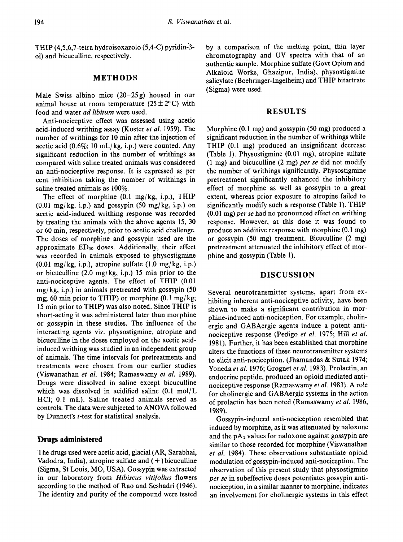THIP (4,5,6,7-tetra hydroisoxazolo (5,4-C) pyridin-3- 01) and bicuculline, respectively.

### **METHODS**

Male Swiss albino mice  $(20-25g)$  housed in our animal house at room temperature  $(25 \pm 2^{\circ} \text{C})$  with food and water *ad libitum* were used.

Anti-nociceptive effect was assessed using acetic acid-induced writhing assay (Koster *et al.* 1959). The number of writhings for 10 min after the injection of acetic acid  $(0.6\%; 10 \text{ mL/kg}, i.p.)$  were counted. Any significant reduction in the number of writhings as compared with saline treated animals was considered an anti-nociceptive response. It is expressed as per cent inhibition taking the number of writhings in saline treated animals as 100%.

The effect of morphine (0.1 mg/kg, i.p.), THIP  $(0.01 \text{ mg/kg}, i.p.)$  and gossypin  $(50 \text{ mg/kg}, i.p.)$  on acetic acid-induced writhing response was recorded by treating the animals with the above agents 15, **30**  or 60 min, respectively, prior to acetic acid challenge. The doses of morphine and gossypin used are the approximate  $ED_{50}$  doses. Additionally, their effect was recorded in animals exposed to physostigmine (0.01 mg/kg, i.p.), atropine sulfate (1.0 mg/kg, i.p.) or bicuculline **(2.0** mg/ kg, i.p.) **15** min prior to the anti-nociceptive agents. The effect of THIP (0.01  $mg/kg$ , i.p.) in animals pretreated with gossypin (50 mg; 60 min prior to THIP) or morphine  $(0.1 \text{ mg/kg})$ ; **15** min prior to THIP) was also noted. Since THIP is short-acting it was administered later than morphine or gossypin in these studies. The influence of the interacting agents viz. physostigmine, atropine and bicuculline in the doses employed on the acetic acidinduced writhing was studied in an independent group of animals. The time intervals for pretreatments and treatments were chosen from our earlier studies (Viswanathan *et al.* 1984; Ramaswamy *et al.* 1989). Drugs were dissolved in saline except bicuculline which was dissolved in acidified saline (0.1 mol/L HCl; 0.1 mL). Saline treated animals served as controls. The data were subjected to ANOVA followed by Dunnett's *t*-test for statistical analysis.

## **Drugs administered**

The drugs used were acetic acid, glacial (AR, Sarabhai, Vadodra, India), atropine sulfate and  $(+)$  bicuculline (Sigma, St Louis, MO, USA). Gossypin was extracted in our laboratory from *Hibiscus vitifolius* flowers according to the method of Rao and Seshadri (1946). The identity and purity of the compound were tested by a comparison of the melting point, thin layer chromatography and UV spectra with that of an authentic sample. Morphine sulfate (Govt Opium and Alkaloid Works, Ghazipur, India), physostigmine salicylate (Boehringer-Ingelheim) and THIP bitartrate (Sigma) were used.

#### **RESULTS**

Morphine (0.1 mg) and gossypin (50 mg) produced a significant reduction in the number of writhings while THIP (0.1 mg) produced an insignificant decrease (Table 1). Physostigmine (0.01 mg), atropine sulfate (1 mg) and bicuculline (2 mg) *per se* did not modify the number of writhings significantly. Physostigmine pretreatment significantly enhanced the inhibitory effect of morphine as well as gossypin to a great extent, whereas prior exposure to atropine failed to significantly modify such a response (Table 1). THIP (0.01 mg) *per se* had no pronounced effect on writhing response. However, at this dose it was found to produce an additive response with morphine (0.1 mg) or gossypin (50 mg) treatment. Bicuculline (2 mg) pretreatment attenuated the inhibitory effect of morphine and gossypin (Table 1).

## **DISCUSSION**

Several neurotransmitter systems, apart from exhibiting inherent anti-nociceptive activity, have been shown to make a significant contribution in morphine-induced anti-nociception. For example, cholinergic and GABAergic agents induce a potent antinociceptive response (Pedigo *et at.* 1975; Hill *et af.*  1981). Further, it has been established that morphine alters the functions of these neurotransmitter systems to elicit anti-nociception. (Jhamandas & Sutak 1974; Yoneda *et al.* 1976; Grognet *ez al.* 1983). Prolactin, an endocrine peptide, produced an opioid mediated antinociceptive response (Ramaswamy *et al.* 1983). **A** role for cholinergic and GABAergic systems in the action of prolactin has been noted (Ramaswamy *et al.* 1986, 1989).

Gossypin-induced anti-nociception resembled that induced by morphine, as it was attenuated by naloxone and the  $pA_2$  values for naloxone against gossypin are similar to those recorded for morphine (Viswanathan *et al.* 1984). These observations substantiate opioid modulation of gossypin-induced anti-nociception. The observation of this present study that physostigmine *per se* in subeffective doses potentiates gossypin antinociception, in a similar manner to morphine, indicates an involvement for cholinergic systems in this effect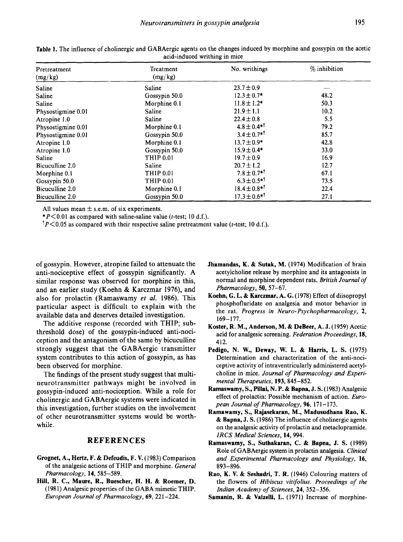| acid-induced writting in mice |                      |                               |                |
|-------------------------------|----------------------|-------------------------------|----------------|
| Pretreatment<br>(mg/kg)       | Treatment<br>(mg/kg) | No. writhings                 | $%$ inhibition |
| Saline                        | Saline               | $23.7 \pm 0.9$                |                |
| Saline                        | Gossypin 50.0        | $12.3 \pm 0.7*$               | 48.2           |
| Saline                        | Morphine 0.1         | $11.8 \pm 1.2*$               | 50.3           |
| Physostigmine 0.01            | Saline               | $21.9 \pm 1.1$                | 10.2           |
| Atropine 1.0                  | Saline               | $22.4 \pm 0.8$                | 5.5            |
| Physostigmine 0.01            | Morphine 0.1         | $4.8 \pm 0.4$ <sup>*1</sup>   | 79.2           |
| Physostigmine 0.01            | Gossypin 50.0        | $3.4 \pm 0.7$ <sup>*1</sup>   | 85.7           |
| Atropine 1.0                  | Morphine 0.1         | $13.7 \pm 0.9*$               | 42.8           |
| Atropine 1.0                  | Gossypin 50.0        | $15.9 \pm 0.4*$               | 33.0           |
| Saline                        | THIP 0.01            | $19.7 \pm 0.9$                | 16.9           |
| Bicuculline 2.0               | Saline               | $20.7 \pm 1.2$                | 12.7           |
| Morphine 0.1                  | <b>THIP 0.01</b>     | $7.8 \pm 0.7$ <sup>*1</sup>   | 67.1           |
| Gossypin 50.0                 | THIP 0.01            | $6.3 \pm 0.5$ <sup>*1</sup>   | 73.5           |
| Bicuculline 2.0               | Morphine 0.1         | $18.4 \pm 0.8$ *              | 22.4           |
| Bicuculline 2.0               | Gossypin 50.0        | $17.3 \pm 0.6$ * <sup>†</sup> | 27.1           |

**Table 1.** The influence of cholinergic and GABAergic agents on the changes induced by morphine and gossypin on the acetic acid-induced writhing in mice

All values mean  $\pm$  s.e.m. of six experiments.

*\*P<O.Ol* as compared with saline-saline value (t-test; 10 d.f.).

 $P < 0.05$  as compared with their respective saline pretreatment value (*t*-test; 10 d.f.).

of gossypin. However, atropine failed to attenuate the anti-nociceptive effect of gossypin significantly. A similar response was observed for morphine in this, and an earlier study (Koehn & Karczmar 1976), and also for prolactin (Ramaswamy *et al.* 1986). This particular aspect is difficult to explain with the available data and deserves detailed investigation.

The additive response (recorded with THIP; subthreshold dose) of the gossypin-induced anti-nociception and the antagonism of the same by bicuculline strongly suggest that the GABAergic transmitter system contributes to this action of gossypin, as has been observed for morphine.

The findings of the present study suggest that multineurotransmitter pathways might be involved in gossypin-induced anti-nociception. While a role for cholinergic and GABAergic systems were indicated in this investigation, further studies on the involvement of other neurotransmitter systems would be worthwhile.

### **REFERENCES**

- **Grognet, A., Hertz, F.** & **Defeudis, F.** V. (1983) Comparison of the analgesic actions of THIP and morphine. *General Pharmacology,* **14,** 585-589.
- Hill, **R. C., Maure, R., Buescher, H.** H. & **Roemer, D.**  (1981) Analgesic properties of the GABA mimetic THIP. *European Journal of Pharmacology,* **69,** 221 -224.
- **Jhamandas, K.** & **Sutak, M.** (1974) Modification of brain acetylcholine release by morphine and its antagonists in normal and morphine dependent rats. *British Journal of Pharmacology,* 50,57-67.
- **Koehn, G. L.** & **Karczmar, A. G.** (1978) Effect of diisopropyl phosphofluridate on analgesia and motor behavior in the rat. *Progress in Neuro- Psychopharrnacology, 2,*  169-177.
- **Koster, R. M., Anderson, M.** & **DeBeer, A. J.** (1959) Acetic acid for analgesic screening. *Federation Proceedings,* **18,**  412.
- **Pedigo, N. W., Deway, W. L.** & **Harris, L. S.** (1975) Determination and characterization **of** the anti-nociceptive activity of intraventricularly administered acetylcholine in mice. *Journal of Pharmacology and Experimental Therapeutics,* **193,** 845-852.
- **Ramaswamy, S., Pillai, N. P.** & **Bapna, J. S.** (1983) Analgesic effect of prolactin: Possible mechanism of action. *European Journal of Pharmacology,* **96,** 17 **1** - 173.
- **Ramawamy, S., Rajasekaran, M., Madusudhana Rao, K.**  & **Bapna, J. S.** (1986) The influence of cholinergic agents on the analgesic activity of prolactin and metaclopramide. *IRCS Medical Sciences,* 14,994.
- **Ramaswamy,** *S.,* **Suthakaran, C.** & **Bapna, J. S.** (1989) Role of GABAergic system in prolactin analgesia. *Clinical and Experimental Pharmacology and Physiology,* **16,**  893-896.
- **Rao, K.** V. & **Seshadri, T. R.** (1946) Colouring matters of the flowers of *Hibiscus vitifolius. Proceedings of the Indian Academy of Sciences,* **24,** 352-356.
- **Samanin, R.** & Valzelli, **L.** (1971) Increase of morphine-